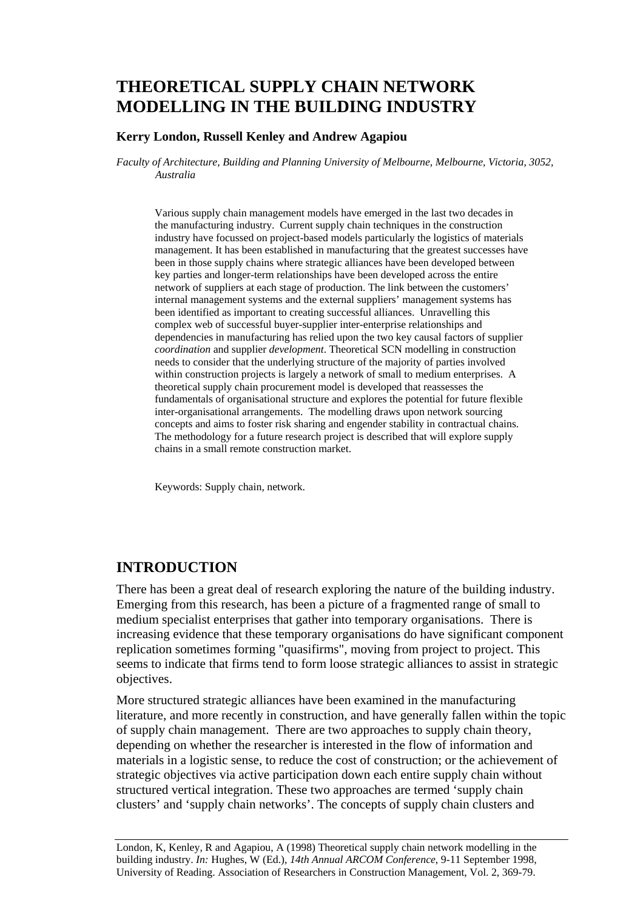# **THEORETICAL SUPPLY CHAIN NETWORK MODELLING IN THE BUILDING INDUSTRY**

#### **Kerry London, Russell Kenley and Andrew Agapiou**

*Faculty of Architecture, Building and Planning University of Melbourne, Melbourne, Victoria, 3052, Australia* 

Various supply chain management models have emerged in the last two decades in the manufacturing industry. Current supply chain techniques in the construction industry have focussed on project-based models particularly the logistics of materials management. It has been established in manufacturing that the greatest successes have been in those supply chains where strategic alliances have been developed between key parties and longer-term relationships have been developed across the entire network of suppliers at each stage of production. The link between the customers' internal management systems and the external suppliers' management systems has been identified as important to creating successful alliances. Unravelling this complex web of successful buyer-supplier inter-enterprise relationships and dependencies in manufacturing has relied upon the two key causal factors of supplier *coordination* and supplier *development*. Theoretical SCN modelling in construction needs to consider that the underlying structure of the majority of parties involved within construction projects is largely a network of small to medium enterprises. A theoretical supply chain procurement model is developed that reassesses the fundamentals of organisational structure and explores the potential for future flexible inter-organisational arrangements. The modelling draws upon network sourcing concepts and aims to foster risk sharing and engender stability in contractual chains. The methodology for a future research project is described that will explore supply chains in a small remote construction market.

Keywords: Supply chain, network.

### **INTRODUCTION**

There has been a great deal of research exploring the nature of the building industry. Emerging from this research, has been a picture of a fragmented range of small to medium specialist enterprises that gather into temporary organisations. There is increasing evidence that these temporary organisations do have significant component replication sometimes forming "quasifirms", moving from project to project. This seems to indicate that firms tend to form loose strategic alliances to assist in strategic objectives.

More structured strategic alliances have been examined in the manufacturing literature, and more recently in construction, and have generally fallen within the topic of supply chain management. There are two approaches to supply chain theory, depending on whether the researcher is interested in the flow of information and materials in a logistic sense, to reduce the cost of construction; or the achievement of strategic objectives via active participation down each entire supply chain without structured vertical integration. These two approaches are termed 'supply chain clusters' and 'supply chain networks'. The concepts of supply chain clusters and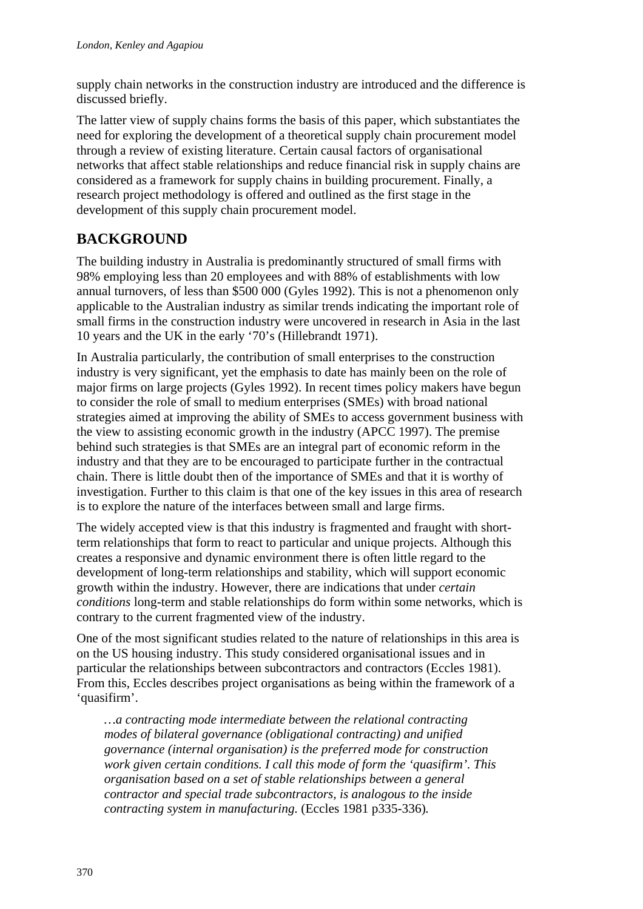supply chain networks in the construction industry are introduced and the difference is discussed briefly.

The latter view of supply chains forms the basis of this paper, which substantiates the need for exploring the development of a theoretical supply chain procurement model through a review of existing literature. Certain causal factors of organisational networks that affect stable relationships and reduce financial risk in supply chains are considered as a framework for supply chains in building procurement. Finally, a research project methodology is offered and outlined as the first stage in the development of this supply chain procurement model.

# **BACKGROUND**

The building industry in Australia is predominantly structured of small firms with 98% employing less than 20 employees and with 88% of establishments with low annual turnovers, of less than \$500 000 (Gyles 1992). This is not a phenomenon only applicable to the Australian industry as similar trends indicating the important role of small firms in the construction industry were uncovered in research in Asia in the last 10 years and the UK in the early '70's (Hillebrandt 1971).

In Australia particularly, the contribution of small enterprises to the construction industry is very significant, yet the emphasis to date has mainly been on the role of major firms on large projects (Gyles 1992). In recent times policy makers have begun to consider the role of small to medium enterprises (SMEs) with broad national strategies aimed at improving the ability of SMEs to access government business with the view to assisting economic growth in the industry (APCC 1997). The premise behind such strategies is that SMEs are an integral part of economic reform in the industry and that they are to be encouraged to participate further in the contractual chain. There is little doubt then of the importance of SMEs and that it is worthy of investigation. Further to this claim is that one of the key issues in this area of research is to explore the nature of the interfaces between small and large firms.

The widely accepted view is that this industry is fragmented and fraught with shortterm relationships that form to react to particular and unique projects. Although this creates a responsive and dynamic environment there is often little regard to the development of long-term relationships and stability, which will support economic growth within the industry. However, there are indications that under *certain conditions* long-term and stable relationships do form within some networks, which is contrary to the current fragmented view of the industry.

One of the most significant studies related to the nature of relationships in this area is on the US housing industry. This study considered organisational issues and in particular the relationships between subcontractors and contractors (Eccles 1981). From this, Eccles describes project organisations as being within the framework of a 'quasifirm'.

*…a contracting mode intermediate between the relational contracting modes of bilateral governance (obligational contracting) and unified governance (internal organisation) is the preferred mode for construction work given certain conditions. I call this mode of form the 'quasifirm'. This organisation based on a set of stable relationships between a general contractor and special trade subcontractors, is analogous to the inside contracting system in manufacturing.* (Eccles 1981 p335-336)*.*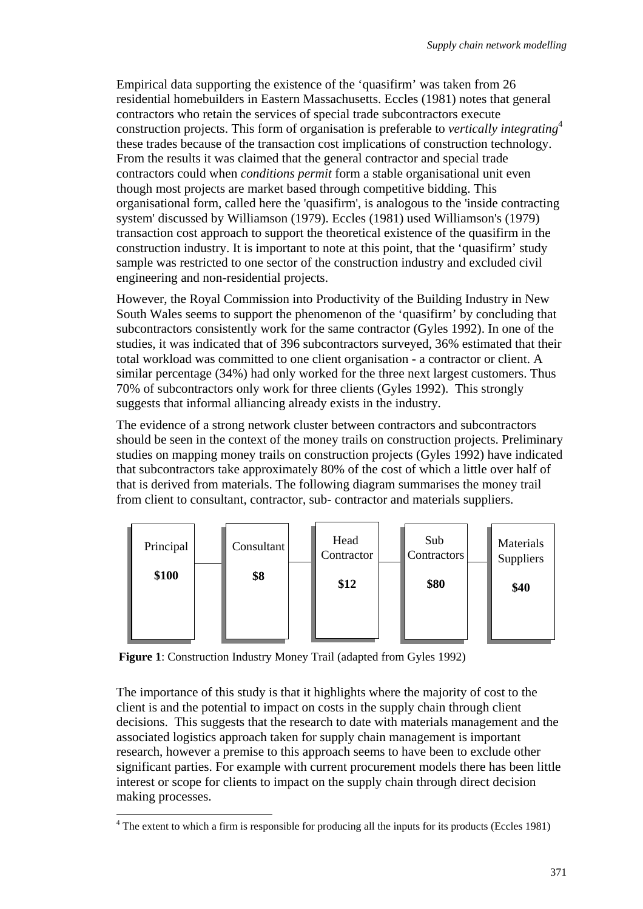Empirical data supporting the existence of the 'quasifirm' was taken from 26 residential homebuilders in Eastern Massachusetts. Eccles (1981) notes that general contractors who retain the services of special trade subcontractors execute construction projects. This form of organisation is preferable to *vertically integrating*<sup>4</sup> these trades because of the transaction cost implications of construction technology. From the results it was claimed that the general contractor and special trade contractors could when *conditions permit* form a stable organisational unit even though most projects are market based through competitive bidding. This organisational form, called here the 'quasifirm', is analogous to the 'inside contracting system' discussed by Williamson (1979). Eccles (1981) used Williamson's (1979) transaction cost approach to support the theoretical existence of the quasifirm in the construction industry. It is important to note at this point, that the 'quasifirm' study sample was restricted to one sector of the construction industry and excluded civil engineering and non-residential projects.

However, the Royal Commission into Productivity of the Building Industry in New South Wales seems to support the phenomenon of the 'quasifirm' by concluding that subcontractors consistently work for the same contractor (Gyles 1992). In one of the studies, it was indicated that of 396 subcontractors surveyed, 36% estimated that their total workload was committed to one client organisation - a contractor or client. A similar percentage (34%) had only worked for the three next largest customers. Thus 70% of subcontractors only work for three clients (Gyles 1992). This strongly suggests that informal alliancing already exists in the industry.

The evidence of a strong network cluster between contractors and subcontractors should be seen in the context of the money trails on construction projects. Preliminary studies on mapping money trails on construction projects (Gyles 1992) have indicated that subcontractors take approximately 80% of the cost of which a little over half of that is derived from materials. The following diagram summarises the money trail from client to consultant, contractor, sub- contractor and materials suppliers.



**Figure 1**: Construction Industry Money Trail (adapted from Gyles 1992)

The importance of this study is that it highlights where the majority of cost to the client is and the potential to impact on costs in the supply chain through client decisions. This suggests that the research to date with materials management and the associated logistics approach taken for supply chain management is important research, however a premise to this approach seems to have been to exclude other significant parties. For example with current procurement models there has been little interest or scope for clients to impact on the supply chain through direct decision making processes.

<sup>&</sup>lt;sup>4</sup> The extent to which a firm is responsible for producing all the inputs for its products (Eccles 1981)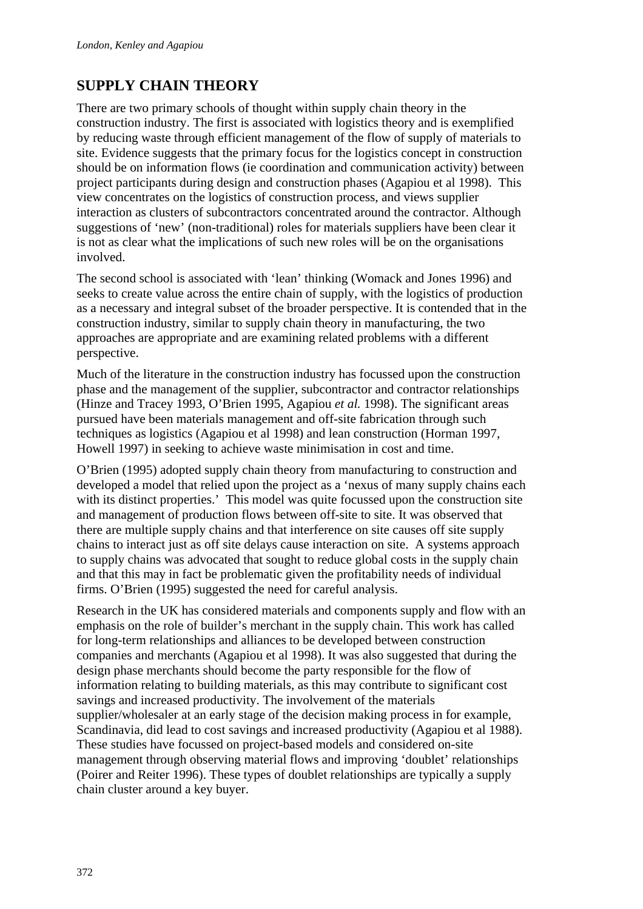## **SUPPLY CHAIN THEORY**

There are two primary schools of thought within supply chain theory in the construction industry. The first is associated with logistics theory and is exemplified by reducing waste through efficient management of the flow of supply of materials to site. Evidence suggests that the primary focus for the logistics concept in construction should be on information flows (ie coordination and communication activity) between project participants during design and construction phases (Agapiou et al 1998). This view concentrates on the logistics of construction process, and views supplier interaction as clusters of subcontractors concentrated around the contractor. Although suggestions of 'new' (non-traditional) roles for materials suppliers have been clear it is not as clear what the implications of such new roles will be on the organisations involved.

The second school is associated with 'lean' thinking (Womack and Jones 1996) and seeks to create value across the entire chain of supply, with the logistics of production as a necessary and integral subset of the broader perspective. It is contended that in the construction industry, similar to supply chain theory in manufacturing, the two approaches are appropriate and are examining related problems with a different perspective.

Much of the literature in the construction industry has focussed upon the construction phase and the management of the supplier, subcontractor and contractor relationships (Hinze and Tracey 1993, O'Brien 1995, Agapiou *et al.* 1998). The significant areas pursued have been materials management and off-site fabrication through such techniques as logistics (Agapiou et al 1998) and lean construction (Horman 1997, Howell 1997) in seeking to achieve waste minimisation in cost and time.

O'Brien (1995) adopted supply chain theory from manufacturing to construction and developed a model that relied upon the project as a 'nexus of many supply chains each with its distinct properties.' This model was quite focussed upon the construction site and management of production flows between off-site to site. It was observed that there are multiple supply chains and that interference on site causes off site supply chains to interact just as off site delays cause interaction on site. A systems approach to supply chains was advocated that sought to reduce global costs in the supply chain and that this may in fact be problematic given the profitability needs of individual firms. O'Brien (1995) suggested the need for careful analysis.

Research in the UK has considered materials and components supply and flow with an emphasis on the role of builder's merchant in the supply chain. This work has called for long-term relationships and alliances to be developed between construction companies and merchants (Agapiou et al 1998). It was also suggested that during the design phase merchants should become the party responsible for the flow of information relating to building materials, as this may contribute to significant cost savings and increased productivity. The involvement of the materials supplier/wholesaler at an early stage of the decision making process in for example, Scandinavia, did lead to cost savings and increased productivity (Agapiou et al 1988). These studies have focussed on project-based models and considered on-site management through observing material flows and improving 'doublet' relationships (Poirer and Reiter 1996). These types of doublet relationships are typically a supply chain cluster around a key buyer.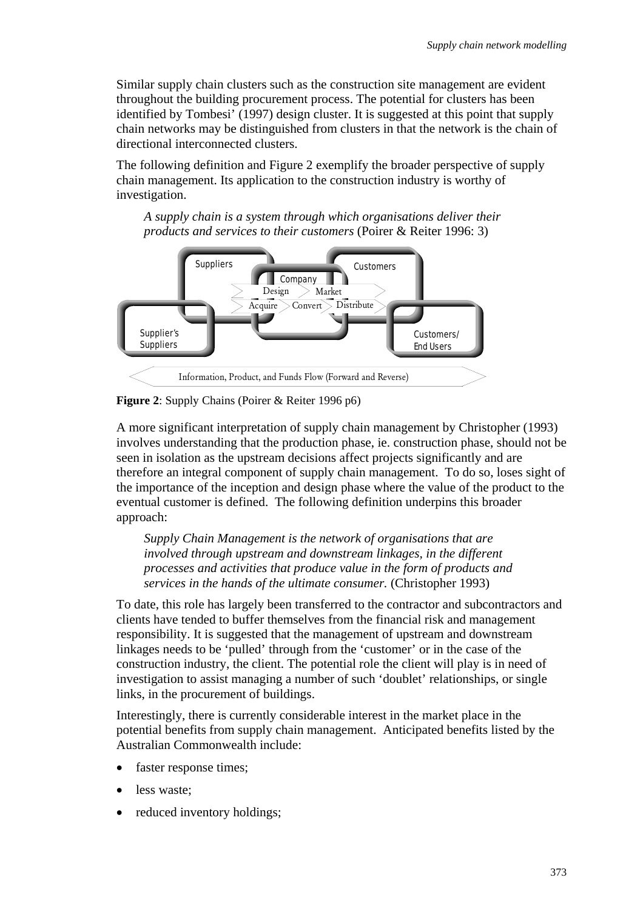Similar supply chain clusters such as the construction site management are evident throughout the building procurement process. The potential for clusters has been identified by Tombesi' (1997) design cluster. It is suggested at this point that supply chain networks may be distinguished from clusters in that the network is the chain of directional interconnected clusters.

The following definition and Figure 2 exemplify the broader perspective of supply chain management. Its application to the construction industry is worthy of investigation.

*A supply chain is a system through which organisations deliver their products and services to their customers* (Poirer & Reiter 1996: 3)



**Figure 2**: Supply Chains (Poirer & Reiter 1996 p6)

A more significant interpretation of supply chain management by Christopher (1993) involves understanding that the production phase, ie. construction phase, should not be seen in isolation as the upstream decisions affect projects significantly and are therefore an integral component of supply chain management. To do so, loses sight of the importance of the inception and design phase where the value of the product to the eventual customer is defined. The following definition underpins this broader approach:

*Supply Chain Management is the network of organisations that are involved through upstream and downstream linkages, in the different processes and activities that produce value in the form of products and services in the hands of the ultimate consumer.* (Christopher 1993)

To date, this role has largely been transferred to the contractor and subcontractors and clients have tended to buffer themselves from the financial risk and management responsibility. It is suggested that the management of upstream and downstream linkages needs to be 'pulled' through from the 'customer' or in the case of the construction industry, the client. The potential role the client will play is in need of investigation to assist managing a number of such 'doublet' relationships, or single links, in the procurement of buildings.

Interestingly, there is currently considerable interest in the market place in the potential benefits from supply chain management. Anticipated benefits listed by the Australian Commonwealth include:

- faster response times:
- less waste;
- reduced inventory holdings: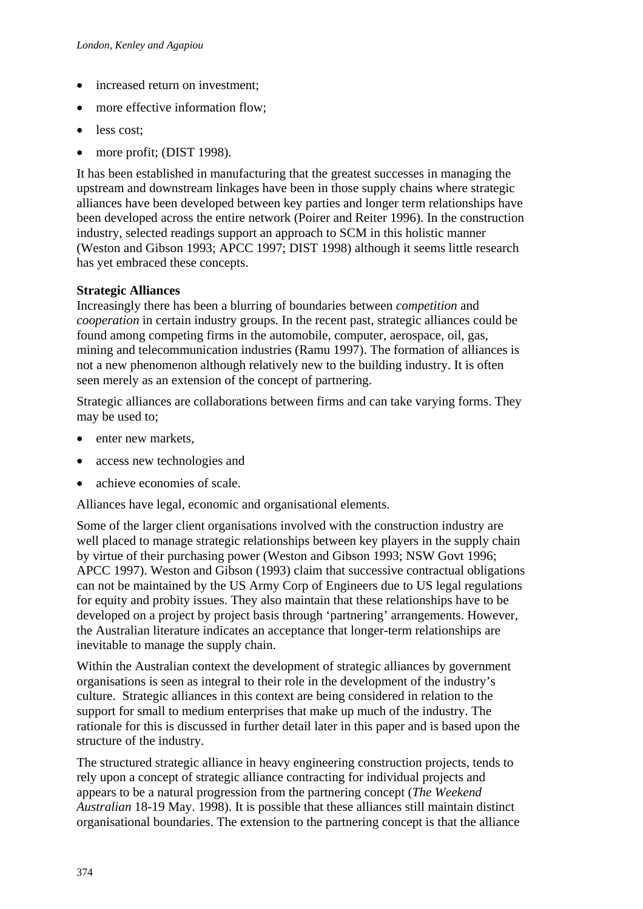- increased return on investment;
- more effective information flow;
- less cost:
- more profit; (DIST 1998).

It has been established in manufacturing that the greatest successes in managing the upstream and downstream linkages have been in those supply chains where strategic alliances have been developed between key parties and longer term relationships have been developed across the entire network (Poirer and Reiter 1996). In the construction industry, selected readings support an approach to SCM in this holistic manner (Weston and Gibson 1993; APCC 1997; DIST 1998) although it seems little research has yet embraced these concepts.

#### **Strategic Alliances**

Increasingly there has been a blurring of boundaries between *competition* and *cooperation* in certain industry groups. In the recent past, strategic alliances could be found among competing firms in the automobile, computer, aerospace, oil, gas, mining and telecommunication industries (Ramu 1997). The formation of alliances is not a new phenomenon although relatively new to the building industry. It is often seen merely as an extension of the concept of partnering.

Strategic alliances are collaborations between firms and can take varying forms. They may be used to;

- enter new markets,
- access new technologies and
- achieve economies of scale.

Alliances have legal, economic and organisational elements.

Some of the larger client organisations involved with the construction industry are well placed to manage strategic relationships between key players in the supply chain by virtue of their purchasing power (Weston and Gibson 1993; NSW Govt 1996; APCC 1997). Weston and Gibson (1993) claim that successive contractual obligations can not be maintained by the US Army Corp of Engineers due to US legal regulations for equity and probity issues. They also maintain that these relationships have to be developed on a project by project basis through 'partnering' arrangements. However, the Australian literature indicates an acceptance that longer-term relationships are inevitable to manage the supply chain.

Within the Australian context the development of strategic alliances by government organisations is seen as integral to their role in the development of the industry's culture. Strategic alliances in this context are being considered in relation to the support for small to medium enterprises that make up much of the industry. The rationale for this is discussed in further detail later in this paper and is based upon the structure of the industry.

The structured strategic alliance in heavy engineering construction projects, tends to rely upon a concept of strategic alliance contracting for individual projects and appears to be a natural progression from the partnering concept (*The Weekend Australian* 18-19 May. 1998). It is possible that these alliances still maintain distinct organisational boundaries. The extension to the partnering concept is that the alliance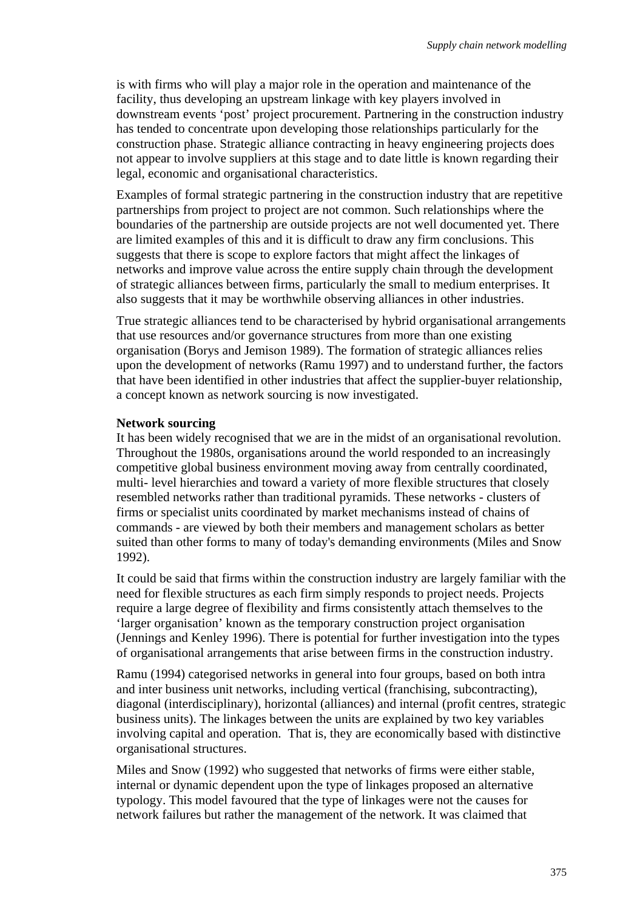is with firms who will play a major role in the operation and maintenance of the facility, thus developing an upstream linkage with key players involved in downstream events 'post' project procurement. Partnering in the construction industry has tended to concentrate upon developing those relationships particularly for the construction phase. Strategic alliance contracting in heavy engineering projects does not appear to involve suppliers at this stage and to date little is known regarding their legal, economic and organisational characteristics.

Examples of formal strategic partnering in the construction industry that are repetitive partnerships from project to project are not common. Such relationships where the boundaries of the partnership are outside projects are not well documented yet. There are limited examples of this and it is difficult to draw any firm conclusions. This suggests that there is scope to explore factors that might affect the linkages of networks and improve value across the entire supply chain through the development of strategic alliances between firms, particularly the small to medium enterprises. It also suggests that it may be worthwhile observing alliances in other industries.

True strategic alliances tend to be characterised by hybrid organisational arrangements that use resources and/or governance structures from more than one existing organisation (Borys and Jemison 1989). The formation of strategic alliances relies upon the development of networks (Ramu 1997) and to understand further, the factors that have been identified in other industries that affect the supplier-buyer relationship, a concept known as network sourcing is now investigated.

#### **Network sourcing**

It has been widely recognised that we are in the midst of an organisational revolution. Throughout the 1980s, organisations around the world responded to an increasingly competitive global business environment moving away from centrally coordinated, multi- level hierarchies and toward a variety of more flexible structures that closely resembled networks rather than traditional pyramids. These networks - clusters of firms or specialist units coordinated by market mechanisms instead of chains of commands - are viewed by both their members and management scholars as better suited than other forms to many of today's demanding environments (Miles and Snow 1992).

It could be said that firms within the construction industry are largely familiar with the need for flexible structures as each firm simply responds to project needs. Projects require a large degree of flexibility and firms consistently attach themselves to the 'larger organisation' known as the temporary construction project organisation (Jennings and Kenley 1996). There is potential for further investigation into the types of organisational arrangements that arise between firms in the construction industry.

Ramu (1994) categorised networks in general into four groups, based on both intra and inter business unit networks, including vertical (franchising, subcontracting), diagonal (interdisciplinary), horizontal (alliances) and internal (profit centres, strategic business units). The linkages between the units are explained by two key variables involving capital and operation. That is, they are economically based with distinctive organisational structures.

Miles and Snow (1992) who suggested that networks of firms were either stable, internal or dynamic dependent upon the type of linkages proposed an alternative typology. This model favoured that the type of linkages were not the causes for network failures but rather the management of the network. It was claimed that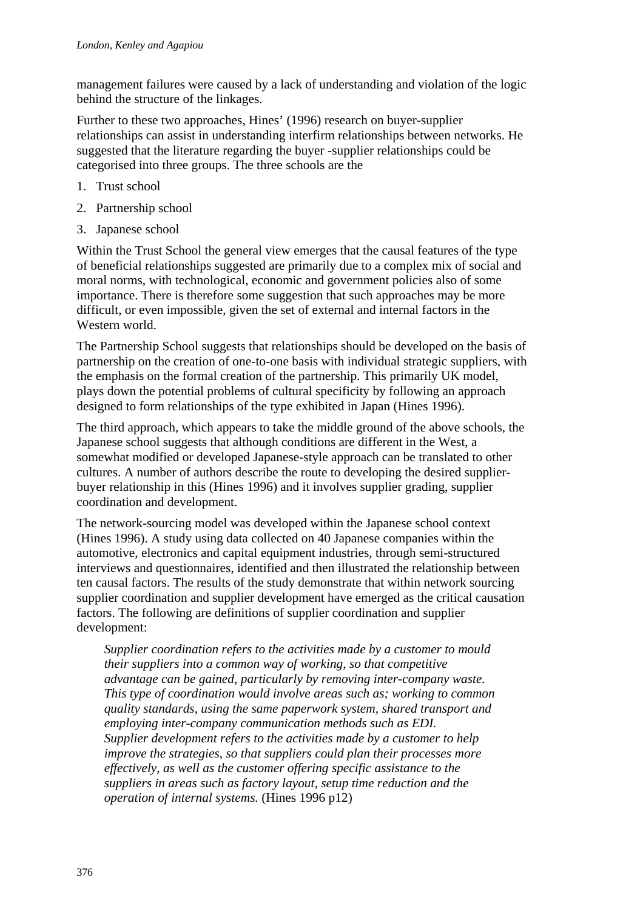management failures were caused by a lack of understanding and violation of the logic behind the structure of the linkages.

Further to these two approaches, Hines' (1996) research on buyer-supplier relationships can assist in understanding interfirm relationships between networks. He suggested that the literature regarding the buyer -supplier relationships could be categorised into three groups. The three schools are the

- 1. Trust school
- 2. Partnership school
- 3. Japanese school

Within the Trust School the general view emerges that the causal features of the type of beneficial relationships suggested are primarily due to a complex mix of social and moral norms, with technological, economic and government policies also of some importance. There is therefore some suggestion that such approaches may be more difficult, or even impossible, given the set of external and internal factors in the Western world.

The Partnership School suggests that relationships should be developed on the basis of partnership on the creation of one-to-one basis with individual strategic suppliers, with the emphasis on the formal creation of the partnership. This primarily UK model, plays down the potential problems of cultural specificity by following an approach designed to form relationships of the type exhibited in Japan (Hines 1996).

The third approach, which appears to take the middle ground of the above schools, the Japanese school suggests that although conditions are different in the West, a somewhat modified or developed Japanese-style approach can be translated to other cultures. A number of authors describe the route to developing the desired supplierbuyer relationship in this (Hines 1996) and it involves supplier grading, supplier coordination and development.

The network-sourcing model was developed within the Japanese school context (Hines 1996). A study using data collected on 40 Japanese companies within the automotive, electronics and capital equipment industries, through semi-structured interviews and questionnaires, identified and then illustrated the relationship between ten causal factors. The results of the study demonstrate that within network sourcing supplier coordination and supplier development have emerged as the critical causation factors. The following are definitions of supplier coordination and supplier development:

*Supplier coordination refers to the activities made by a customer to mould their suppliers into a common way of working, so that competitive advantage can be gained, particularly by removing inter-company waste. This type of coordination would involve areas such as; working to common quality standards, using the same paperwork system, shared transport and employing inter-company communication methods such as EDI. Supplier development refers to the activities made by a customer to help improve the strategies, so that suppliers could plan their processes more effectively, as well as the customer offering specific assistance to the suppliers in areas such as factory layout, setup time reduction and the operation of internal systems.* (Hines 1996 p12)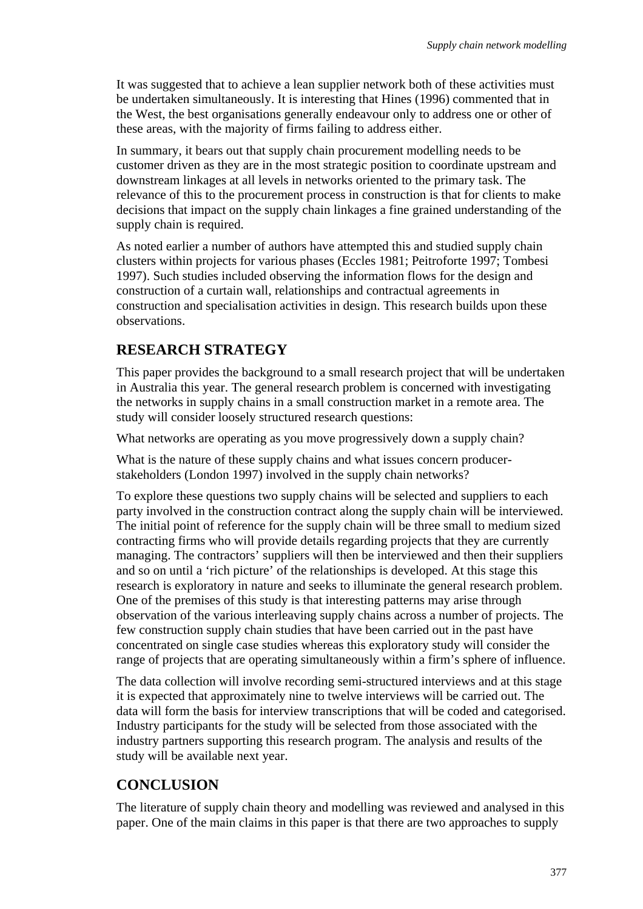It was suggested that to achieve a lean supplier network both of these activities must be undertaken simultaneously. It is interesting that Hines (1996) commented that in the West, the best organisations generally endeavour only to address one or other of these areas, with the majority of firms failing to address either.

In summary, it bears out that supply chain procurement modelling needs to be customer driven as they are in the most strategic position to coordinate upstream and downstream linkages at all levels in networks oriented to the primary task. The relevance of this to the procurement process in construction is that for clients to make decisions that impact on the supply chain linkages a fine grained understanding of the supply chain is required.

As noted earlier a number of authors have attempted this and studied supply chain clusters within projects for various phases (Eccles 1981; Peitroforte 1997; Tombesi 1997). Such studies included observing the information flows for the design and construction of a curtain wall, relationships and contractual agreements in construction and specialisation activities in design. This research builds upon these observations.

## **RESEARCH STRATEGY**

This paper provides the background to a small research project that will be undertaken in Australia this year. The general research problem is concerned with investigating the networks in supply chains in a small construction market in a remote area. The study will consider loosely structured research questions:

What networks are operating as you move progressively down a supply chain?

What is the nature of these supply chains and what issues concern producerstakeholders (London 1997) involved in the supply chain networks?

To explore these questions two supply chains will be selected and suppliers to each party involved in the construction contract along the supply chain will be interviewed. The initial point of reference for the supply chain will be three small to medium sized contracting firms who will provide details regarding projects that they are currently managing. The contractors' suppliers will then be interviewed and then their suppliers and so on until a 'rich picture' of the relationships is developed. At this stage this research is exploratory in nature and seeks to illuminate the general research problem. One of the premises of this study is that interesting patterns may arise through observation of the various interleaving supply chains across a number of projects. The few construction supply chain studies that have been carried out in the past have concentrated on single case studies whereas this exploratory study will consider the range of projects that are operating simultaneously within a firm's sphere of influence.

The data collection will involve recording semi-structured interviews and at this stage it is expected that approximately nine to twelve interviews will be carried out. The data will form the basis for interview transcriptions that will be coded and categorised. Industry participants for the study will be selected from those associated with the industry partners supporting this research program. The analysis and results of the study will be available next year.

## **CONCLUSION**

The literature of supply chain theory and modelling was reviewed and analysed in this paper. One of the main claims in this paper is that there are two approaches to supply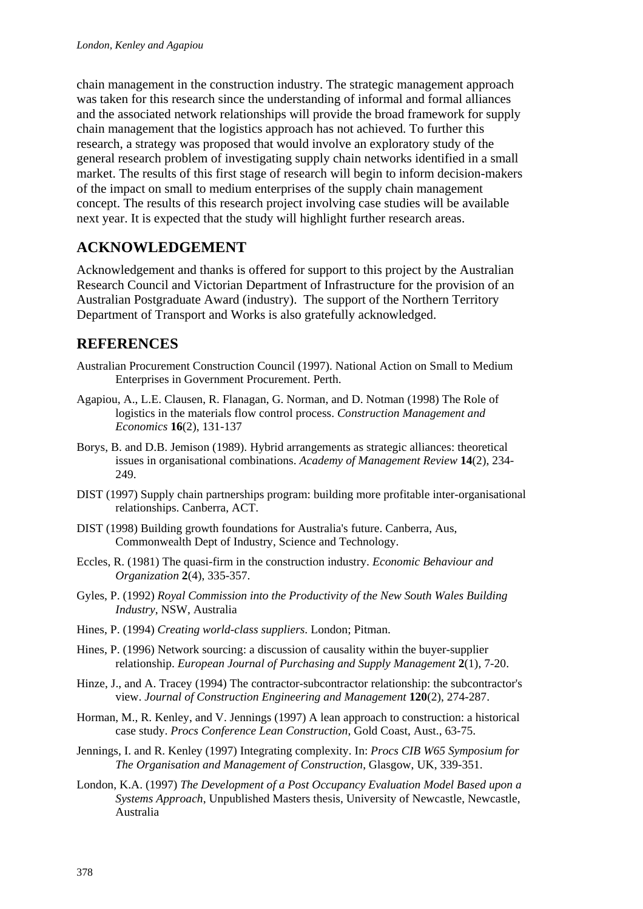chain management in the construction industry. The strategic management approach was taken for this research since the understanding of informal and formal alliances and the associated network relationships will provide the broad framework for supply chain management that the logistics approach has not achieved. To further this research, a strategy was proposed that would involve an exploratory study of the general research problem of investigating supply chain networks identified in a small market. The results of this first stage of research will begin to inform decision-makers of the impact on small to medium enterprises of the supply chain management concept. The results of this research project involving case studies will be available next year. It is expected that the study will highlight further research areas.

### **ACKNOWLEDGEMENT**

Acknowledgement and thanks is offered for support to this project by the Australian Research Council and Victorian Department of Infrastructure for the provision of an Australian Postgraduate Award (industry). The support of the Northern Territory Department of Transport and Works is also gratefully acknowledged.

### **REFERENCES**

- Australian Procurement Construction Council (1997). National Action on Small to Medium Enterprises in Government Procurement. Perth.
- Agapiou, A., L.E. Clausen, R. Flanagan, G. Norman, and D. Notman (1998) The Role of logistics in the materials flow control process. *Construction Management and Economics* **16**(2), 131-137
- Borys, B. and D.B. Jemison (1989). Hybrid arrangements as strategic alliances: theoretical issues in organisational combinations. *Academy of Management Review* **14**(2), 234- 249.
- DIST (1997) Supply chain partnerships program: building more profitable inter-organisational relationships. Canberra, ACT.
- DIST (1998) Building growth foundations for Australia's future. Canberra, Aus, Commonwealth Dept of Industry, Science and Technology.
- Eccles, R. (1981) The quasi-firm in the construction industry. *Economic Behaviour and Organization* **2**(4), 335-357.
- Gyles, P. (1992) *Royal Commission into the Productivity of the New South Wales Building Industry*, NSW, Australia
- Hines, P. (1994) *Creating world-class suppliers*. London; Pitman.
- Hines, P. (1996) Network sourcing: a discussion of causality within the buyer-supplier relationship. *European Journal of Purchasing and Supply Management* **2**(1), 7-20.
- Hinze, J., and A. Tracey (1994) The contractor-subcontractor relationship: the subcontractor's view. *Journal of Construction Engineering and Management* **120**(2), 274-287.
- Horman, M., R. Kenley, and V. Jennings (1997) A lean approach to construction: a historical case study. *Procs Conference Lean Construction*, Gold Coast, Aust., 63-75.
- Jennings, I. and R. Kenley (1997) Integrating complexity. In: *Procs CIB W65 Symposium for The Organisation and Management of Construction*, Glasgow, UK, 339-351.
- London, K.A. (1997) *The Development of a Post Occupancy Evaluation Model Based upon a Systems Approach*, Unpublished Masters thesis, University of Newcastle, Newcastle, Australia